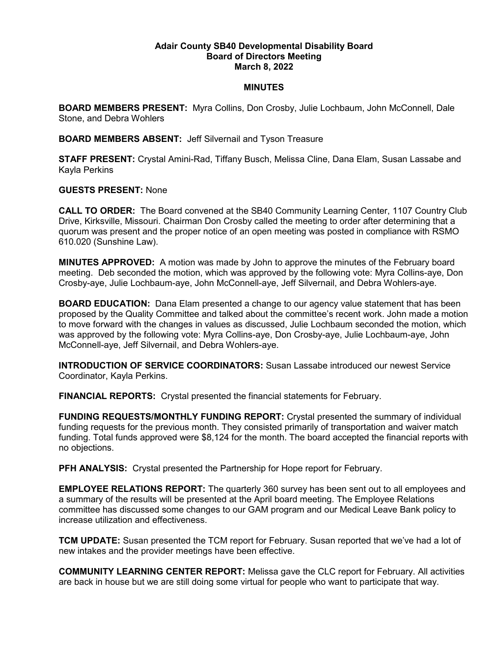## **Adair County SB40 Developmental Disability Board Board of Directors Meeting March 8, 2022**

## **MINUTES**

**BOARD MEMBERS PRESENT:** Myra Collins, Don Crosby, Julie Lochbaum, John McConnell, Dale Stone, and Debra Wohlers

**BOARD MEMBERS ABSENT:** Jeff Silvernail and Tyson Treasure

**STAFF PRESENT:** Crystal Amini-Rad, Tiffany Busch, Melissa Cline, Dana Elam, Susan Lassabe and Kayla Perkins

## **GUESTS PRESENT:** None

**CALL TO ORDER:** The Board convened at the SB40 Community Learning Center, 1107 Country Club Drive, Kirksville, Missouri. Chairman Don Crosby called the meeting to order after determining that a quorum was present and the proper notice of an open meeting was posted in compliance with RSMO 610.020 (Sunshine Law).

**MINUTES APPROVED:** A motion was made by John to approve the minutes of the February board meeting. Deb seconded the motion, which was approved by the following vote: Myra Collins-aye, Don Crosby-aye, Julie Lochbaum-aye, John McConnell-aye, Jeff Silvernail, and Debra Wohlers-aye.

**BOARD EDUCATION:** Dana Elam presented a change to our agency value statement that has been proposed by the Quality Committee and talked about the committee's recent work. John made a motion to move forward with the changes in values as discussed, Julie Lochbaum seconded the motion, which was approved by the following vote: Myra Collins-aye, Don Crosby-aye, Julie Lochbaum-aye, John McConnell-aye, Jeff Silvernail, and Debra Wohlers-aye.

**INTRODUCTION OF SERVICE COORDINATORS:** Susan Lassabe introduced our newest Service Coordinator, Kayla Perkins.

**FINANCIAL REPORTS:** Crystal presented the financial statements for February.

**FUNDING REQUESTS/MONTHLY FUNDING REPORT:** Crystal presented the summary of individual funding requests for the previous month. They consisted primarily of transportation and waiver match funding. Total funds approved were \$8,124 for the month. The board accepted the financial reports with no objections.

**PFH ANALYSIS:** Crystal presented the Partnership for Hope report for February.

**EMPLOYEE RELATIONS REPORT:** The quarterly 360 survey has been sent out to all employees and a summary of the results will be presented at the April board meeting. The Employee Relations committee has discussed some changes to our GAM program and our Medical Leave Bank policy to increase utilization and effectiveness.

**TCM UPDATE:** Susan presented the TCM report for February. Susan reported that we've had a lot of new intakes and the provider meetings have been effective.

**COMMUNITY LEARNING CENTER REPORT:** Melissa gave the CLC report for February. All activities are back in house but we are still doing some virtual for people who want to participate that way.